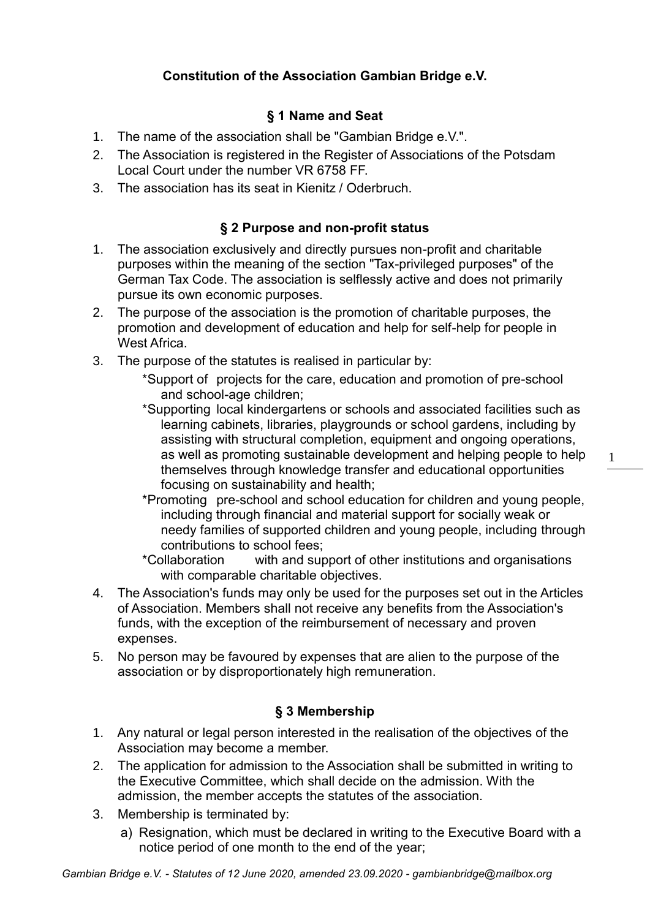# **Constitution of the Association Gambian Bridge e.V.**

## **§ 1 Name and Seat**

- 1. The name of the association shall be "Gambian Bridge e.V.".
- 2. The Association is registered in the Register of Associations of the Potsdam Local Court under the number VR 6758 FF.
- 3. The association has its seat in Kienitz / Oderbruch.

### **§ 2 Purpose and non-profit status**

- 1. The association exclusively and directly pursues non-profit and charitable purposes within the meaning of the section "Tax-privileged purposes" of the German Tax Code. The association is selflessly active and does not primarily pursue its own economic purposes.
- 2. The purpose of the association is the promotion of charitable purposes, the promotion and development of education and help for self-help for people in West Africa.
- 3. The purpose of the statutes is realised in particular by:
	- \*Support of projects for the care, education and promotion of pre-school and school-age children;
	- \*Supporting local kindergartens or schools and associated facilities such as learning cabinets, libraries, playgrounds or school gardens, including by assisting with structural completion, equipment and ongoing operations, as well as promoting sustainable development and helping people to help themselves through knowledge transfer and educational opportunities focusing on sustainability and health;
	- \*Promoting pre-school and school education for children and young people, including through financial and material support for socially weak or needy families of supported children and young people, including through contributions to school fees;
	- \*Collaboration with and support of other institutions and organisations with comparable charitable objectives.
- 4. The Association's funds may only be used for the purposes set out in the Articles of Association. Members shall not receive any benefits from the Association's funds, with the exception of the reimbursement of necessary and proven expenses.
- 5. No person may be favoured by expenses that are alien to the purpose of the association or by disproportionately high remuneration.

## **§ 3 Membership**

- 1. Any natural or legal person interested in the realisation of the objectives of the Association may become a member.
- 2. The application for admission to the Association shall be submitted in writing to the Executive Committee, which shall decide on the admission. With the admission, the member accepts the statutes of the association.
- 3. Membership is terminated by:
	- a) Resignation, which must be declared in writing to the Executive Board with a notice period of one month to the end of the year;

11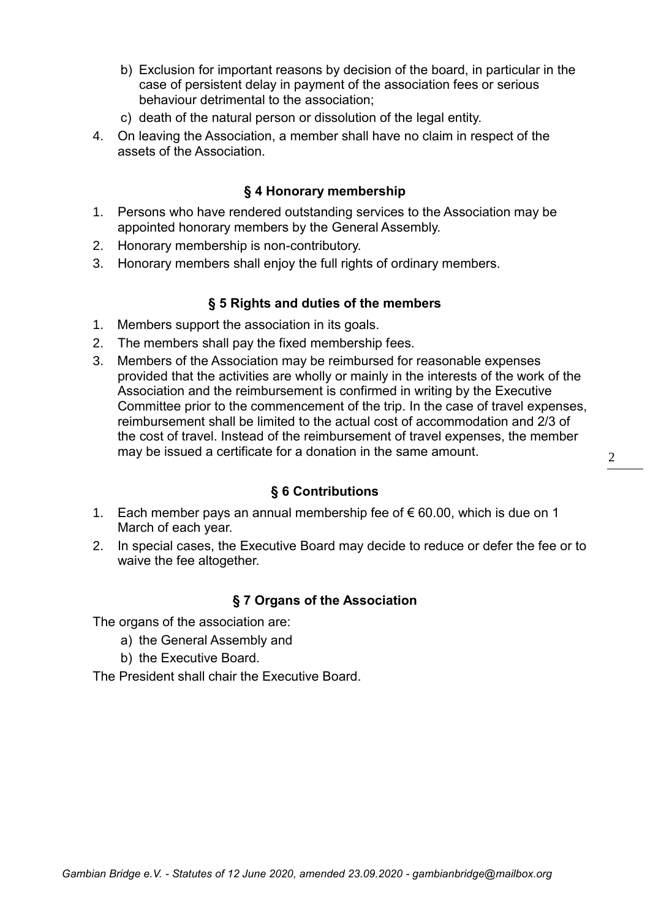- b) Exclusion for important reasons by decision of the board, in particular in the case of persistent delay in payment of the association fees or serious behaviour detrimental to the association;
- c) death of the natural person or dissolution of the legal entity.
- 4. On leaving the Association, a member shall have no claim in respect of the assets of the Association.

### **§ 4 Honorary membership**

- 1. Persons who have rendered outstanding services to the Association may be appointed honorary members by the General Assembly.
- 2. Honorary membership is non-contributory.
- 3. Honorary members shall enjoy the full rights of ordinary members.

#### **§ 5 Rights and duties of the members**

- 1. Members support the association in its goals.
- 2. The members shall pay the fixed membership fees.
- 3. Members of the Association may be reimbursed for reasonable expenses provided that the activities are wholly or mainly in the interests of the work of the Association and the reimbursement is confirmed in writing by the Executive Committee prior to the commencement of the trip. In the case of travel expenses, reimbursement shall be limited to the actual cost of accommodation and 2/3 of the cost of travel. Instead of the reimbursement of travel expenses, the member may be issued a certificate for a donation in the same amount.

#### **§ 6 Contributions**

- 1. Each member pays an annual membership fee of  $\epsilon$  60.00, which is due on 1 March of each year.
- 2. In special cases, the Executive Board may decide to reduce or defer the fee or to waive the fee altogether.

#### **§ 7 Organs of the Association**

The organs of the association are:

- a) the General Assembly and
- b) the Executive Board.

The President shall chair the Executive Board.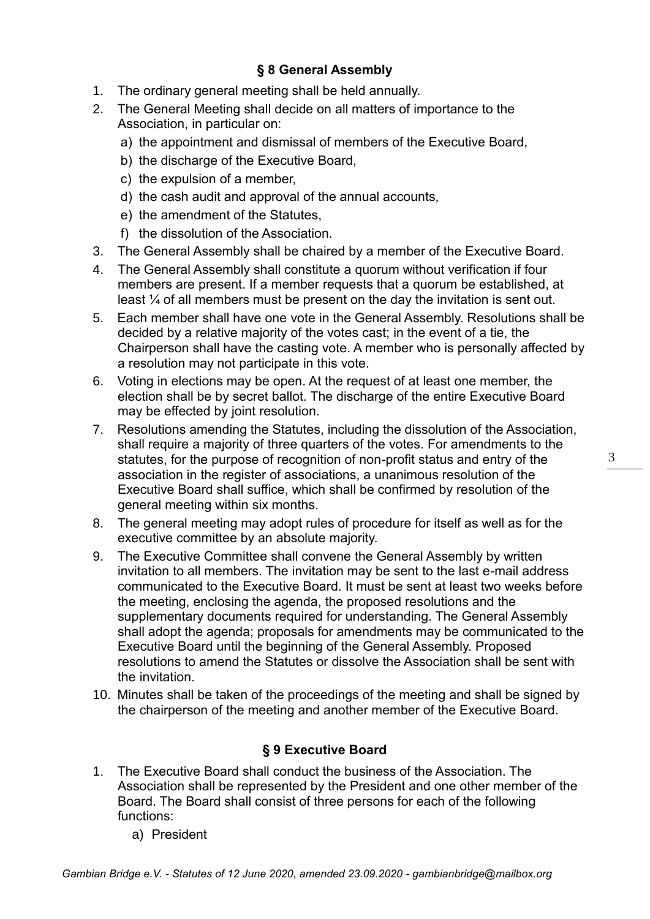# **§ 8 General Assembly**

- 1. The ordinary general meeting shall be held annually.
- 2. The General Meeting shall decide on all matters of importance to the Association, in particular on:
	- a) the appointment and dismissal of members of the Executive Board,
	- b) the discharge of the Executive Board,
	- c) the expulsion of a member,
	- d) the cash audit and approval of the annual accounts,
	- e) the amendment of the Statutes,
	- f) the dissolution of the Association.
- 3. The General Assembly shall be chaired by a member of the Executive Board.
- 4. The General Assembly shall constitute a quorum without verification if four members are present. If a member requests that a quorum be established, at least ¼ of all members must be present on the day the invitation is sent out.
- 5. Each member shall have one vote in the General Assembly. Resolutions shall be decided by a relative majority of the votes cast; in the event of a tie, the Chairperson shall have the casting vote. A member who is personally affected by a resolution may not participate in this vote.
- 6. Voting in elections may be open. At the request of at least one member, the election shall be by secret ballot. The discharge of the entire Executive Board may be effected by joint resolution.
- 7. Resolutions amending the Statutes, including the dissolution of the Association, shall require a majority of three quarters of the votes. For amendments to the statutes, for the purpose of recognition of non-profit status and entry of the association in the register of associations, a unanimous resolution of the Executive Board shall suffice, which shall be confirmed by resolution of the general meeting within six months.
- 8. The general meeting may adopt rules of procedure for itself as well as for the executive committee by an absolute majority.
- 9. The Executive Committee shall convene the General Assembly by written invitation to all members. The invitation may be sent to the last e-mail address communicated to the Executive Board. It must be sent at least two weeks before the meeting, enclosing the agenda, the proposed resolutions and the supplementary documents required for understanding. The General Assembly shall adopt the agenda; proposals for amendments may be communicated to the Executive Board until the beginning of the General Assembly. Proposed resolutions to amend the Statutes or dissolve the Association shall be sent with the invitation.
- 10. Minutes shall be taken of the proceedings of the meeting and shall be signed by the chairperson of the meeting and another member of the Executive Board.

## **§ 9 Executive Board**

- 1. The Executive Board shall conduct the business of the Association. The Association shall be represented by the President and one other member of the Board. The Board shall consist of three persons for each of the following functions:
	- a) President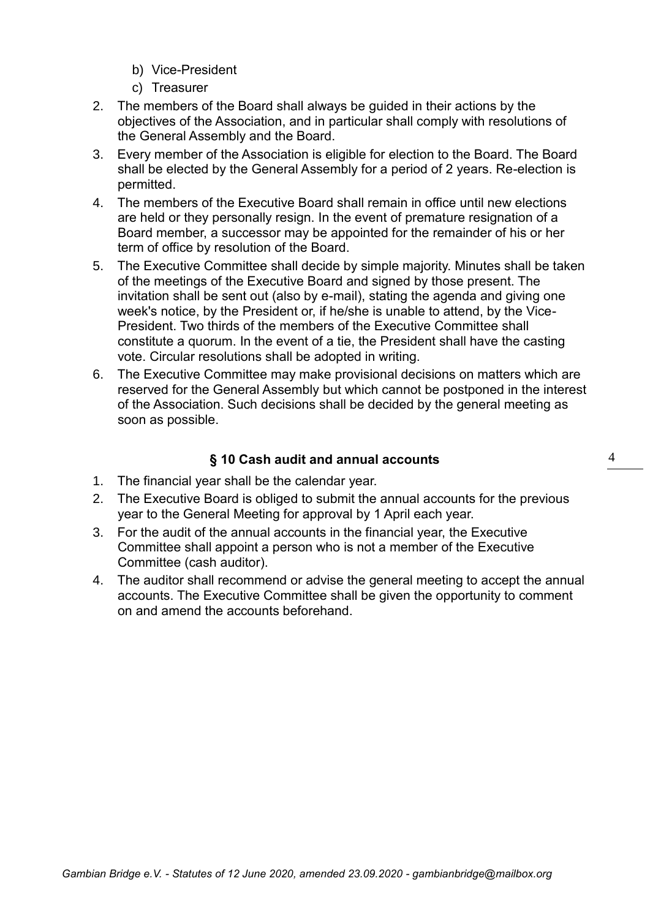- b) Vice-President
- c) Treasurer
- 2. The members of the Board shall always be guided in their actions by the objectives of the Association, and in particular shall comply with resolutions of the General Assembly and the Board.
- 3. Every member of the Association is eligible for election to the Board. The Board shall be elected by the General Assembly for a period of 2 years. Re-election is permitted.
- 4. The members of the Executive Board shall remain in office until new elections are held or they personally resign. In the event of premature resignation of a Board member, a successor may be appointed for the remainder of his or her term of office by resolution of the Board.
- 5. The Executive Committee shall decide by simple majority. Minutes shall be taken of the meetings of the Executive Board and signed by those present. The invitation shall be sent out (also by e-mail), stating the agenda and giving one week's notice, by the President or, if he/she is unable to attend, by the Vice-President. Two thirds of the members of the Executive Committee shall constitute a quorum. In the event of a tie, the President shall have the casting vote. Circular resolutions shall be adopted in writing.
- 6. The Executive Committee may make provisional decisions on matters which are reserved for the General Assembly but which cannot be postponed in the interest of the Association. Such decisions shall be decided by the general meeting as soon as possible.

## **§ 10 Cash audit and annual accounts**

- 1. The financial year shall be the calendar year.
- 2. The Executive Board is obliged to submit the annual accounts for the previous year to the General Meeting for approval by 1 April each year.
- 3. For the audit of the annual accounts in the financial year, the Executive Committee shall appoint a person who is not a member of the Executive Committee (cash auditor).
- 4. The auditor shall recommend or advise the general meeting to accept the annual accounts. The Executive Committee shall be given the opportunity to comment on and amend the accounts beforehand.